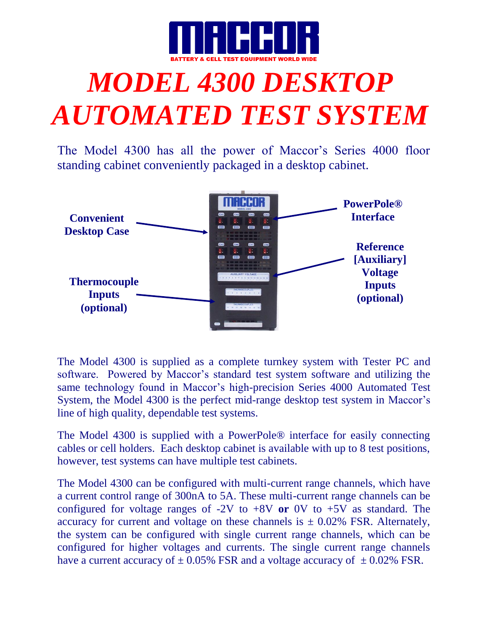

## *MODEL 4300 DESKTOP AUTOMATED TEST SYSTEM*

The Model 4300 has all the power of Maccor's Series 4000 floor standing cabinet conveniently packaged in a desktop cabinet.



The Model 4300 is supplied as a complete turnkey system with Tester PC and software. Powered by Maccor's standard test system software and utilizing the same technology found in Maccor's high-precision Series 4000 Automated Test System, the Model 4300 is the perfect mid-range desktop test system in Maccor's line of high quality, dependable test systems.

The Model 4300 is supplied with a PowerPole® interface for easily connecting cables or cell holders. Each desktop cabinet is available with up to 8 test positions, however, test systems can have multiple test cabinets.

The Model 4300 can be configured with multi-current range channels, which have a current control range of 300nA to 5A. These multi-current range channels can be configured for voltage ranges of -2V to +8V **or** 0V to +5V as standard. The accuracy for current and voltage on these channels is  $\pm$  0.02% FSR. Alternately, the system can be configured with single current range channels, which can be configured for higher voltages and currents. The single current range channels have a current accuracy of  $\pm 0.05\%$  FSR and a voltage accuracy of  $\pm 0.02\%$  FSR.